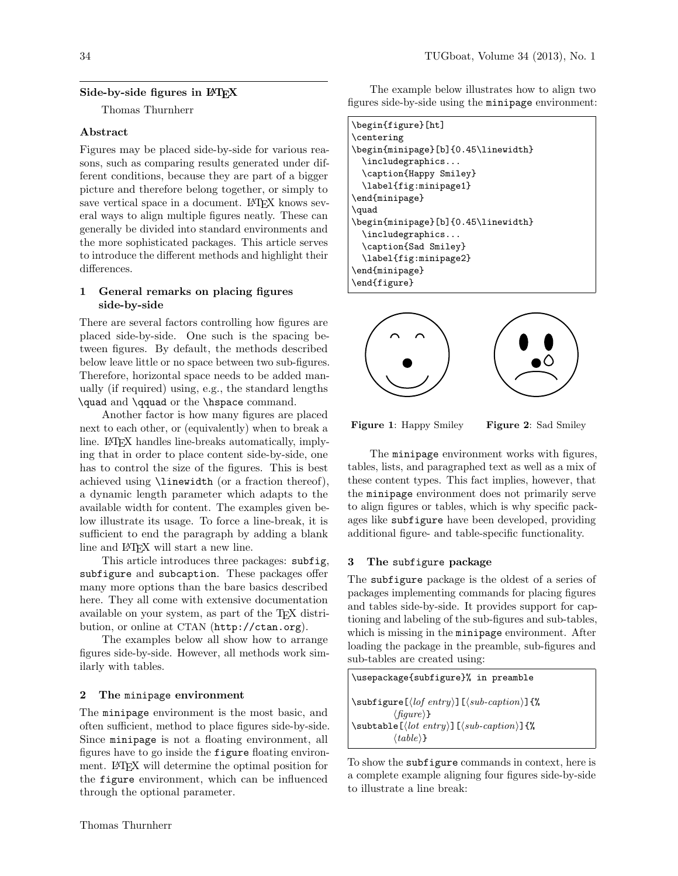## Side-by-side figures in LAT<sub>EX</sub>

Thomas Thurnherr

### Abstract

Figures may be placed side-by-side for various reasons, such as comparing results generated under different conditions, because they are part of a bigger picture and therefore belong together, or simply to save vertical space in a document. LAT<sub>EX</sub> knows several ways to align multiple figures neatly. These can generally be divided into standard environments and the more sophisticated packages. This article serves to introduce the different methods and highlight their differences.

### 1 General remarks on placing figures side-by-side

There are several factors controlling how figures are placed side-by-side. One such is the spacing between figures. By default, the methods described below leave little or no space between two sub-figures. Therefore, horizontal space needs to be added manually (if required) using, e.g., the standard lengths \quad and \qquad or the \hspace command.

Another factor is how many figures are placed next to each other, or (equivalently) when to break a line. LAT<sub>EX</sub> handles line-breaks automatically, implying that in order to place content side-by-side, one has to control the size of the figures. This is best achieved using \linewidth (or a fraction thereof), a dynamic length parameter which adapts to the available width for content. The examples given below illustrate its usage. To force a line-break, it is sufficient to end the paragraph by adding a blank line and LAT<sub>EX</sub> will start a new line.

This article introduces three packages: subfig, subfigure and subcaption. These packages offer many more options than the bare basics described here. They all come with extensive documentation available on your system, as part of the TEX distribution, or online at CTAN (http://ctan.org).

The examples below all show how to arrange figures side-by-side. However, all methods work similarly with tables.

#### 2 The minipage environment

The minipage environment is the most basic, and often sufficient, method to place figures side-by-side. Since minipage is not a floating environment, all figures have to go inside the figure floating environment. LATEX will determine the optimal position for the figure environment, which can be influenced through the optional parameter.

The example below illustrates how to align two figures side-by-side using the minipage environment:

| \begin{figure}[ht]                  |
|-------------------------------------|
| \centering                          |
| \begin{minipage}[b]{0.45\linewidth} |
| \includegraphics                    |
| \caption{Happy Smiley}              |
| \label{fig:minipage1}               |
| \end{minipage}                      |
| \quad                               |
| \begin{minipage}[b]{0.45\linewidth} |
| \includegraphics                    |
| \caption{Sad Smiley}                |
| \label{fig:minipage2}               |
| \end{minipage}                      |
| \end{figure}                        |
|                                     |



Figure 1: Happy Smiley Figure 2: Sad Smiley

The minipage environment works with figures, tables, lists, and paragraphed text as well as a mix of these content types. This fact implies, however, that the minipage environment does not primarily serve to align figures or tables, which is why specific packages like subfigure have been developed, providing additional figure- and table-specific functionality.

#### 3 The subfigure package

The subfigure package is the oldest of a series of packages implementing commands for placing figures and tables side-by-side. It provides support for captioning and labeling of the sub-figures and sub-tables, which is missing in the minipage environment. After loading the package in the preamble, sub-figures and sub-tables are created using:



To show the subfigure commands in context, here is a complete example aligning four figures side-by-side to illustrate a line break: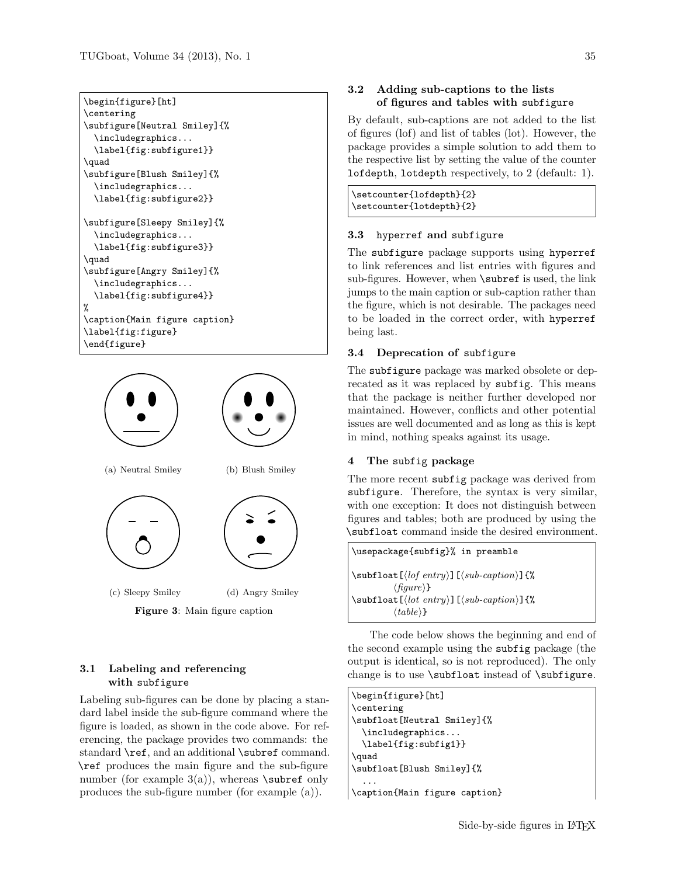```
\begin{figure}[ht]
\centering
\subfigure[Neutral Smiley]{%
  \includegraphics...
 \label{fig:subfigure1}}
\quad
\subfigure[Blush Smiley]{%
 \includegraphics...
  \label{fig:subfigure2}}
\subfigure[Sleepy Smiley]{%
 \includegraphics...
 \label{fig:subfigure3}}
\quad
\subfigure[Angry Smiley]{%
 \includegraphics...
```

```
\label{fig:subfigure4}}
%
\caption{Main figure caption}
\label{fig:figure}
\end{figure}
```


### 3.1 Labeling and referencing with subfigure

Labeling sub-figures can be done by placing a standard label inside the sub-figure command where the figure is loaded, as shown in the code above. For referencing, the package provides two commands: the standard **\ref**, and an additional **\subref** command. \ref produces the main figure and the sub-figure number (for example  $3(a)$ ), whereas **\subref** only produces the sub-figure number (for example (a)).

### 3.2 Adding sub-captions to the lists of figures and tables with subfigure

By default, sub-captions are not added to the list of figures (lof) and list of tables (lot). However, the package provides a simple solution to add them to the respective list by setting the value of the counter lofdepth, lotdepth respectively, to 2 (default: 1).

\setcounter{lofdepth}{2} \setcounter{lotdepth}{2}

### 3.3 hyperref and subfigure

The subfigure package supports using hyperref to link references and list entries with figures and sub-figures. However, when **\subref** is used, the link jumps to the main caption or sub-caption rather than the figure, which is not desirable. The packages need to be loaded in the correct order, with hyperref being last.

### 3.4 Deprecation of subfigure

The subfigure package was marked obsolete or deprecated as it was replaced by subfig. This means that the package is neither further developed nor maintained. However, conflicts and other potential issues are well documented and as long as this is kept in mind, nothing speaks against its usage.

### 4 The subfig package

The more recent subfig package was derived from subfigure. Therefore, the syntax is very similar, with one exception: It does not distinguish between figures and tables; both are produced by using the \subfloat command inside the desired environment.

```
\usepackage{subfig}% in preamble
\sub{subfloat}[\langle\textit{lof entry}\rangle]\lbrace\langle\textit{sub-caption}\rangle]\lbrace\%\langle \text{figure} \rangle}
\subfloat [\langle lot\>entry\rangle] [\langle sub-caption\rangle] {%
                \langle table \rangle
```
The code below shows the beginning and end of the second example using the subfig package (the output is identical, so is not reproduced). The only change is to use **\subfloat** instead of **\subfigure**.

```
\begin{figure}[ht]
\centering
\subfloat[Neutral Smiley]{%
 \includegraphics...
 \label{fig:subfig1}}
\quad
\subfloat[Blush Smiley]{%
  ...
\caption{Main figure caption}
```